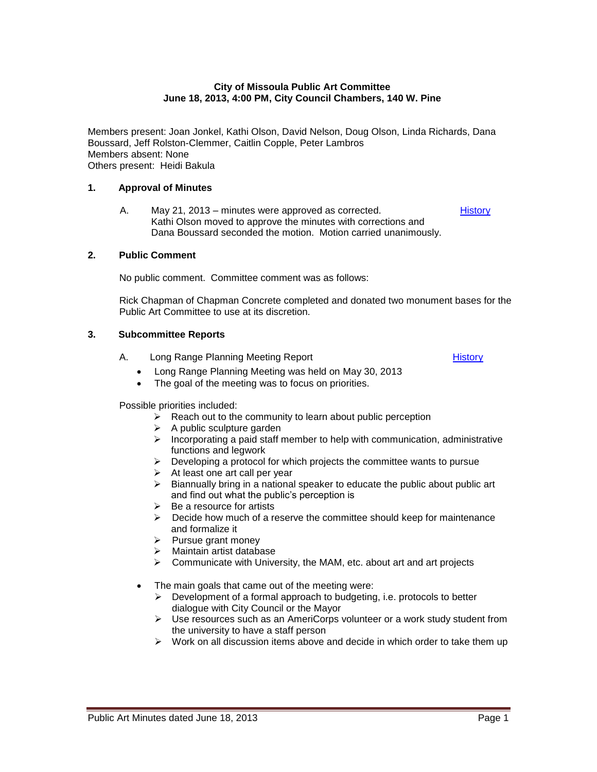#### **City of Missoula Public Art Committee June 18, 2013, 4:00 PM, City Council Chambers, 140 W. Pine**

Members present: Joan Jonkel, Kathi Olson, David Nelson, Doug Olson, Linda Richards, Dana Boussard, Jeff Rolston-Clemmer, Caitlin Copple, Peter Lambros Members absent: None Others present: Heidi Bakula

#### **1. Approval of Minutes**

A. May 21, 2013 – minutes were approved as corrected. Kathi Olson moved to approve the minutes with corrections and Dana Boussard seconded the motion. Motion carried unanimously. **[History](http://missoula.siretechnologies.com/sirepub/item.aspx?itemid=11804)** 

#### **2. Public Comment**

No public comment. Committee comment was as follows:

Rick Chapman of Chapman Concrete completed and donated two monument bases for the Public Art Committee to use at its discretion.

### **3. Subcommittee Reports**

- A. Long Range Planning Meeting Report **[History](http://missoula.siretechnologies.com/sirepub/item.aspx?itemid=11807)** History
	- Long Range Planning Meeting was held on May 30, 2013
	- The goal of the meeting was to focus on priorities.

Possible priorities included:

- $\triangleright$  Reach out to the community to learn about public perception
- $\triangleright$  A public sculpture garden
- $\triangleright$  Incorporating a paid staff member to help with communication, administrative functions and legwork
- $\triangleright$  Developing a protocol for which projects the committee wants to pursue
- $\triangleright$  At least one art call per year
- $\triangleright$  Biannually bring in a national speaker to educate the public about public art and find out what the public's perception is
- $\triangleright$  Be a resource for artists
- $\triangleright$  Decide how much of a reserve the committee should keep for maintenance and formalize it
- $\triangleright$  Pursue grant money
- $\triangleright$  Maintain artist database
- $\triangleright$  Communicate with University, the MAM, etc. about art and art projects
- The main goals that came out of the meeting were:
	- $\triangleright$  Development of a formal approach to budgeting, i.e. protocols to better dialogue with City Council or the Mayor
	- $\triangleright$  Use resources such as an AmeriCorps volunteer or a work study student from the university to have a staff person
	- $\triangleright$  Work on all discussion items above and decide in which order to take them up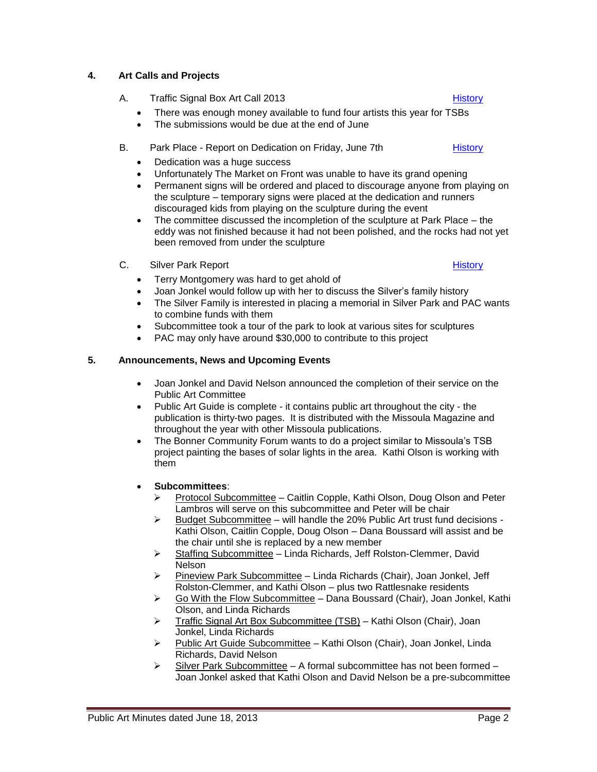# Public Art Minutes dated June 18, 2013 **Page 2 Page 2**

### **4. Art Calls and Projects**

- A. Traffic Signal Box Art Call 2013 **[History](http://missoula.siretechnologies.com/sirepub/item.aspx?itemid=11805) History** 
	- There was enough money available to fund four artists this year for TSBs
	- The submissions would be due at the end of June
- B. Park Place Report on Dedication on Friday, June 7th [History](http://missoula.siretechnologies.com/sirepub/item.aspx?itemid=11806)
	- Dedication was a huge success
	- Unfortunately The Market on Front was unable to have its grand opening
	- Permanent signs will be ordered and placed to discourage anyone from playing on the sculpture – temporary signs were placed at the dedication and runners discouraged kids from playing on the sculpture during the event
	- The committee discussed the incompletion of the sculpture at Park Place the eddy was not finished because it had not been polished, and the rocks had not yet been removed from under the sculpture
- C. Silver Park Report **[History](http://missoula.siretechnologies.com/sirepub/item.aspx?itemid=11808)** History **History** 
	- Terry Montgomery was hard to get ahold of
	- Joan Jonkel would follow up with her to discuss the Silver's family history
	- The Silver Family is interested in placing a memorial in Silver Park and PAC wants to combine funds with them
	- Subcommittee took a tour of the park to look at various sites for sculptures
	- PAC may only have around \$30,000 to contribute to this project

### **5. Announcements, News and Upcoming Events**

- Joan Jonkel and David Nelson announced the completion of their service on the Public Art Committee
- Public Art Guide is complete it contains public art throughout the city the publication is thirty-two pages. It is distributed with the Missoula Magazine and throughout the year with other Missoula publications.
- The Bonner Community Forum wants to do a project similar to Missoula's TSB project painting the bases of solar lights in the area. Kathi Olson is working with them

#### **Subcommittees**:

- Protocol Subcommittee Caitlin Copple, Kathi Olson, Doug Olson and Peter Lambros will serve on this subcommittee and Peter will be chair
- $\triangleright$  Budget Subcommittee will handle the 20% Public Art trust fund decisions -Kathi Olson, Caitlin Copple, Doug Olson – Dana Boussard will assist and be the chair until she is replaced by a new member
- $\triangleright$  Staffing Subcommittee Linda Richards, Jeff Rolston-Clemmer, David Nelson
- $\triangleright$  Pineview Park Subcommittee Linda Richards (Chair), Joan Jonkel, Jeff Rolston-Clemmer, and Kathi Olson – plus two Rattlesnake residents
- $\triangleright$  Go With the Flow Subcommittee Dana Boussard (Chair), Joan Jonkel, Kathi Olson, and Linda Richards
- ▶ Traffic Signal Art Box Subcommittee (TSB) Kathi Olson (Chair), Joan Jonkel, Linda Richards
- Public Art Guide Subcommittee Kathi Olson (Chair), Joan Jonkel, Linda Richards, David Nelson
- $\triangleright$  Silver Park Subcommittee A formal subcommittee has not been formed Joan Jonkel asked that Kathi Olson and David Nelson be a pre-subcommittee